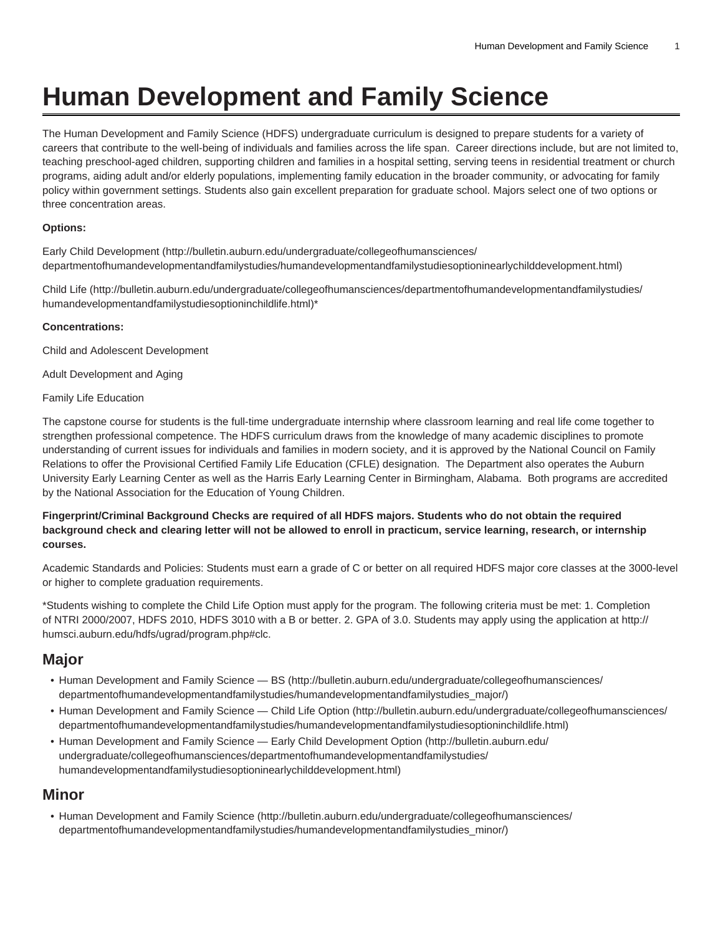# **Human Development and Family Science**

The Human Development and Family Science (HDFS) undergraduate curriculum is designed to prepare students for a variety of careers that contribute to the well-being of individuals and families across the life span. Career directions include, but are not limited to, teaching preschool-aged children, supporting children and families in a hospital setting, serving teens in residential treatment or church programs, aiding adult and/or elderly populations, implementing family education in the broader community, or advocating for family policy within government settings. Students also gain excellent preparation for graduate school. Majors select one of two options or three concentration areas.

## **Options:**

[Early Child Development](http://bulletin.auburn.edu/undergraduate/collegeofhumansciences/departmentofhumandevelopmentandfamilystudies/humandevelopmentandfamilystudiesoptioninearlychilddevelopment.html) ([http://bulletin.auburn.edu/undergraduate/collegeofhumansciences/](http://bulletin.auburn.edu/undergraduate/collegeofhumansciences/departmentofhumandevelopmentandfamilystudies/humandevelopmentandfamilystudiesoptioninearlychilddevelopment.html) [departmentofhumandevelopmentandfamilystudies/humandevelopmentandfamilystudiesoptioninearlychilddevelopment.html](http://bulletin.auburn.edu/undergraduate/collegeofhumansciences/departmentofhumandevelopmentandfamilystudies/humandevelopmentandfamilystudiesoptioninearlychilddevelopment.html))

[Child Life \(http://bulletin.auburn.edu/undergraduate/collegeofhumansciences/departmentofhumandevelopmentandfamilystudies/](http://bulletin.auburn.edu/undergraduate/collegeofhumansciences/departmentofhumandevelopmentandfamilystudies/humandevelopmentandfamilystudiesoptioninchildlife.html) [humandevelopmentandfamilystudiesoptioninchildlife.html](http://bulletin.auburn.edu/undergraduate/collegeofhumansciences/departmentofhumandevelopmentandfamilystudies/humandevelopmentandfamilystudiesoptioninchildlife.html))\*

## **Concentrations:**

Child and Adolescent Development

Adult Development and Aging

Family Life Education

The capstone course for students is the full-time undergraduate internship where classroom learning and real life come together to strengthen professional competence. The HDFS curriculum draws from the knowledge of many academic disciplines to promote understanding of current issues for individuals and families in modern society, and it is approved by the National Council on Family Relations to offer the Provisional Certified Family Life Education (CFLE) designation. The Department also operates the Auburn University Early Learning Center as well as the Harris Early Learning Center in Birmingham, Alabama. Both programs are accredited by the National Association for the Education of Young Children.

## **Fingerprint/Criminal Background Checks are required of all HDFS majors. Students who do not obtain the required background check and clearing letter will not be allowed to enroll in practicum, service learning, research, or internship courses.**

Academic Standards and Policies: Students must earn a grade of C or better on all required HDFS major core classes at the 3000-level or higher to complete graduation requirements.

\*Students wishing to complete the Child Life Option must apply for the program. The following criteria must be met: 1. Completion of NTRI 2000/2007, HDFS 2010, HDFS 3010 with a B or better. 2. GPA of 3.0. Students may apply using the application at [http://](http://humsci.auburn.edu/hdfs/ugrad/program.php#clc) [humsci.auburn.edu/hdfs/ugrad/program.php#clc](http://humsci.auburn.edu/hdfs/ugrad/program.php#clc).

## **Major**

- [Human Development and Family Science BS \(http://bulletin.auburn.edu/undergraduate/collegeofhumansciences/](http://bulletin.auburn.edu/undergraduate/collegeofhumansciences/departmentofhumandevelopmentandfamilystudies/humandevelopmentandfamilystudies_major/) [departmentofhumandevelopmentandfamilystudies/humandevelopmentandfamilystudies\\_major/\)](http://bulletin.auburn.edu/undergraduate/collegeofhumansciences/departmentofhumandevelopmentandfamilystudies/humandevelopmentandfamilystudies_major/)
- [Human Development and Family Science Child Life Option](http://bulletin.auburn.edu/undergraduate/collegeofhumansciences/departmentofhumandevelopmentandfamilystudies/humandevelopmentandfamilystudiesoptioninchildlife.html) ([http://bulletin.auburn.edu/undergraduate/collegeofhumansciences/](http://bulletin.auburn.edu/undergraduate/collegeofhumansciences/departmentofhumandevelopmentandfamilystudies/humandevelopmentandfamilystudiesoptioninchildlife.html) [departmentofhumandevelopmentandfamilystudies/humandevelopmentandfamilystudiesoptioninchildlife.html\)](http://bulletin.auburn.edu/undergraduate/collegeofhumansciences/departmentofhumandevelopmentandfamilystudies/humandevelopmentandfamilystudiesoptioninchildlife.html)
- [Human Development and Family Science Early Child Development Option \(http://bulletin.auburn.edu/](http://bulletin.auburn.edu/undergraduate/collegeofhumansciences/departmentofhumandevelopmentandfamilystudies/humandevelopmentandfamilystudiesoptioninearlychilddevelopment.html) [undergraduate/collegeofhumansciences/departmentofhumandevelopmentandfamilystudies/](http://bulletin.auburn.edu/undergraduate/collegeofhumansciences/departmentofhumandevelopmentandfamilystudies/humandevelopmentandfamilystudiesoptioninearlychilddevelopment.html) [humandevelopmentandfamilystudiesoptioninearlychilddevelopment.html\)](http://bulletin.auburn.edu/undergraduate/collegeofhumansciences/departmentofhumandevelopmentandfamilystudies/humandevelopmentandfamilystudiesoptioninearlychilddevelopment.html)

## **Minor**

• [Human Development and Family Science \(http://bulletin.auburn.edu/undergraduate/collegeofhumansciences/](http://bulletin.auburn.edu/undergraduate/collegeofhumansciences/departmentofhumandevelopmentandfamilystudies/humandevelopmentandfamilystudies_minor/) [departmentofhumandevelopmentandfamilystudies/humandevelopmentandfamilystudies\\_minor/\)](http://bulletin.auburn.edu/undergraduate/collegeofhumansciences/departmentofhumandevelopmentandfamilystudies/humandevelopmentandfamilystudies_minor/)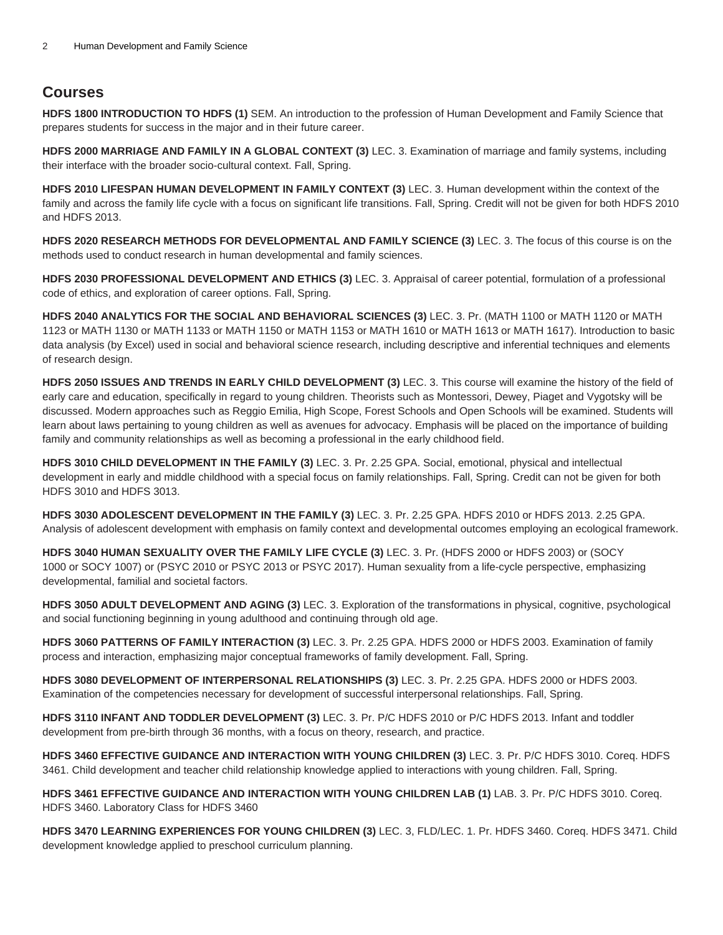## **Courses**

**HDFS 1800 INTRODUCTION TO HDFS (1)** SEM. An introduction to the profession of Human Development and Family Science that prepares students for success in the major and in their future career.

**HDFS 2000 MARRIAGE AND FAMILY IN A GLOBAL CONTEXT (3)** LEC. 3. Examination of marriage and family systems, including their interface with the broader socio-cultural context. Fall, Spring.

**HDFS 2010 LIFESPAN HUMAN DEVELOPMENT IN FAMILY CONTEXT (3)** LEC. 3. Human development within the context of the family and across the family life cycle with a focus on significant life transitions. Fall, Spring. Credit will not be given for both HDFS 2010 and HDFS 2013.

**HDFS 2020 RESEARCH METHODS FOR DEVELOPMENTAL AND FAMILY SCIENCE (3)** LEC. 3. The focus of this course is on the methods used to conduct research in human developmental and family sciences.

**HDFS 2030 PROFESSIONAL DEVELOPMENT AND ETHICS (3)** LEC. 3. Appraisal of career potential, formulation of a professional code of ethics, and exploration of career options. Fall, Spring.

**HDFS 2040 ANALYTICS FOR THE SOCIAL AND BEHAVIORAL SCIENCES (3)** LEC. 3. Pr. (MATH 1100 or MATH 1120 or MATH 1123 or MATH 1130 or MATH 1133 or MATH 1150 or MATH 1153 or MATH 1610 or MATH 1613 or MATH 1617). Introduction to basic data analysis (by Excel) used in social and behavioral science research, including descriptive and inferential techniques and elements of research design.

**HDFS 2050 ISSUES AND TRENDS IN EARLY CHILD DEVELOPMENT (3)** LEC. 3. This course will examine the history of the field of early care and education, specifically in regard to young children. Theorists such as Montessori, Dewey, Piaget and Vygotsky will be discussed. Modern approaches such as Reggio Emilia, High Scope, Forest Schools and Open Schools will be examined. Students will learn about laws pertaining to young children as well as avenues for advocacy. Emphasis will be placed on the importance of building family and community relationships as well as becoming a professional in the early childhood field.

**HDFS 3010 CHILD DEVELOPMENT IN THE FAMILY (3)** LEC. 3. Pr. 2.25 GPA. Social, emotional, physical and intellectual development in early and middle childhood with a special focus on family relationships. Fall, Spring. Credit can not be given for both HDFS 3010 and HDFS 3013.

**HDFS 3030 ADOLESCENT DEVELOPMENT IN THE FAMILY (3)** LEC. 3. Pr. 2.25 GPA. HDFS 2010 or HDFS 2013. 2.25 GPA. Analysis of adolescent development with emphasis on family context and developmental outcomes employing an ecological framework.

**HDFS 3040 HUMAN SEXUALITY OVER THE FAMILY LIFE CYCLE (3)** LEC. 3. Pr. (HDFS 2000 or HDFS 2003) or (SOCY 1000 or SOCY 1007) or (PSYC 2010 or PSYC 2013 or PSYC 2017). Human sexuality from a life-cycle perspective, emphasizing developmental, familial and societal factors.

**HDFS 3050 ADULT DEVELOPMENT AND AGING (3)** LEC. 3. Exploration of the transformations in physical, cognitive, psychological and social functioning beginning in young adulthood and continuing through old age.

**HDFS 3060 PATTERNS OF FAMILY INTERACTION (3)** LEC. 3. Pr. 2.25 GPA. HDFS 2000 or HDFS 2003. Examination of family process and interaction, emphasizing major conceptual frameworks of family development. Fall, Spring.

**HDFS 3080 DEVELOPMENT OF INTERPERSONAL RELATIONSHIPS (3)** LEC. 3. Pr. 2.25 GPA. HDFS 2000 or HDFS 2003. Examination of the competencies necessary for development of successful interpersonal relationships. Fall, Spring.

**HDFS 3110 INFANT AND TODDLER DEVELOPMENT (3)** LEC. 3. Pr. P/C HDFS 2010 or P/C HDFS 2013. Infant and toddler development from pre-birth through 36 months, with a focus on theory, research, and practice.

**HDFS 3460 EFFECTIVE GUIDANCE AND INTERACTION WITH YOUNG CHILDREN (3)** LEC. 3. Pr. P/C HDFS 3010. Coreq. HDFS 3461. Child development and teacher child relationship knowledge applied to interactions with young children. Fall, Spring.

**HDFS 3461 EFFECTIVE GUIDANCE AND INTERACTION WITH YOUNG CHILDREN LAB (1)** LAB. 3. Pr. P/C HDFS 3010. Coreq. HDFS 3460. Laboratory Class for HDFS 3460

**HDFS 3470 LEARNING EXPERIENCES FOR YOUNG CHILDREN (3)** LEC. 3, FLD/LEC. 1. Pr. HDFS 3460. Coreq. HDFS 3471. Child development knowledge applied to preschool curriculum planning.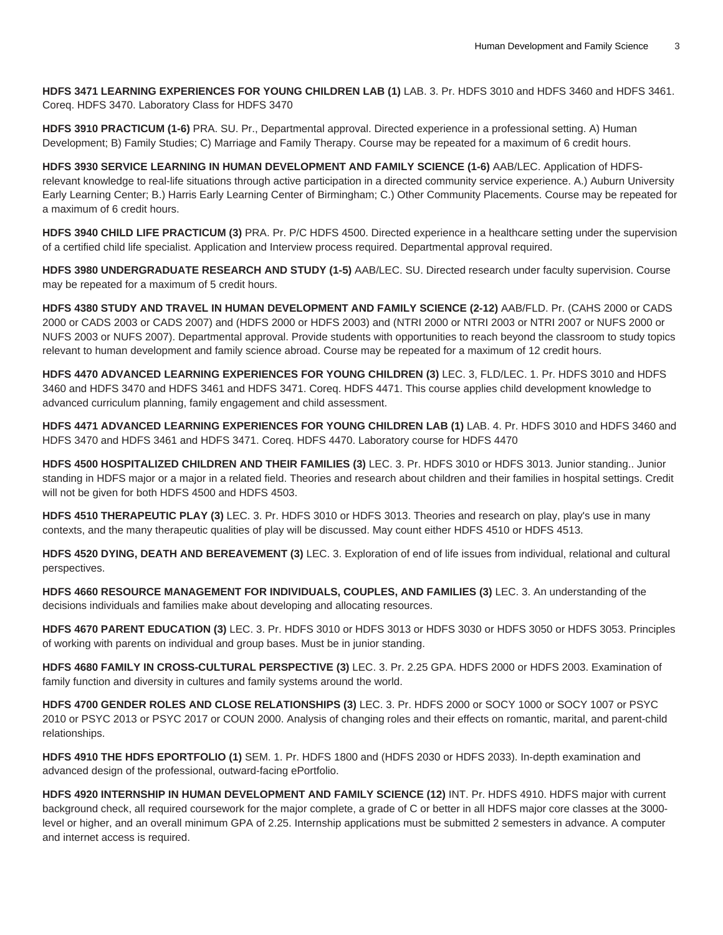**HDFS 3471 LEARNING EXPERIENCES FOR YOUNG CHILDREN LAB (1)** LAB. 3. Pr. HDFS 3010 and HDFS 3460 and HDFS 3461. Coreq. HDFS 3470. Laboratory Class for HDFS 3470

**HDFS 3910 PRACTICUM (1-6)** PRA. SU. Pr., Departmental approval. Directed experience in a professional setting. A) Human Development; B) Family Studies; C) Marriage and Family Therapy. Course may be repeated for a maximum of 6 credit hours.

**HDFS 3930 SERVICE LEARNING IN HUMAN DEVELOPMENT AND FAMILY SCIENCE (1-6)** AAB/LEC. Application of HDFSrelevant knowledge to real-life situations through active participation in a directed community service experience. A.) Auburn University Early Learning Center; B.) Harris Early Learning Center of Birmingham; C.) Other Community Placements. Course may be repeated for a maximum of 6 credit hours.

**HDFS 3940 CHILD LIFE PRACTICUM (3)** PRA. Pr. P/C HDFS 4500. Directed experience in a healthcare setting under the supervision of a certified child life specialist. Application and Interview process required. Departmental approval required.

**HDFS 3980 UNDERGRADUATE RESEARCH AND STUDY (1-5)** AAB/LEC. SU. Directed research under faculty supervision. Course may be repeated for a maximum of 5 credit hours.

**HDFS 4380 STUDY AND TRAVEL IN HUMAN DEVELOPMENT AND FAMILY SCIENCE (2-12)** AAB/FLD. Pr. (CAHS 2000 or CADS 2000 or CADS 2003 or CADS 2007) and (HDFS 2000 or HDFS 2003) and (NTRI 2000 or NTRI 2003 or NTRI 2007 or NUFS 2000 or NUFS 2003 or NUFS 2007). Departmental approval. Provide students with opportunities to reach beyond the classroom to study topics relevant to human development and family science abroad. Course may be repeated for a maximum of 12 credit hours.

**HDFS 4470 ADVANCED LEARNING EXPERIENCES FOR YOUNG CHILDREN (3)** LEC. 3, FLD/LEC. 1. Pr. HDFS 3010 and HDFS 3460 and HDFS 3470 and HDFS 3461 and HDFS 3471. Coreq. HDFS 4471. This course applies child development knowledge to advanced curriculum planning, family engagement and child assessment.

**HDFS 4471 ADVANCED LEARNING EXPERIENCES FOR YOUNG CHILDREN LAB (1)** LAB. 4. Pr. HDFS 3010 and HDFS 3460 and HDFS 3470 and HDFS 3461 and HDFS 3471. Coreq. HDFS 4470. Laboratory course for HDFS 4470

**HDFS 4500 HOSPITALIZED CHILDREN AND THEIR FAMILIES (3)** LEC. 3. Pr. HDFS 3010 or HDFS 3013. Junior standing.. Junior standing in HDFS major or a major in a related field. Theories and research about children and their families in hospital settings. Credit will not be given for both HDFS 4500 and HDFS 4503.

**HDFS 4510 THERAPEUTIC PLAY (3)** LEC. 3. Pr. HDFS 3010 or HDFS 3013. Theories and research on play, play's use in many contexts, and the many therapeutic qualities of play will be discussed. May count either HDFS 4510 or HDFS 4513.

**HDFS 4520 DYING, DEATH AND BEREAVEMENT (3)** LEC. 3. Exploration of end of life issues from individual, relational and cultural perspectives.

**HDFS 4660 RESOURCE MANAGEMENT FOR INDIVIDUALS, COUPLES, AND FAMILIES (3)** LEC. 3. An understanding of the decisions individuals and families make about developing and allocating resources.

**HDFS 4670 PARENT EDUCATION (3)** LEC. 3. Pr. HDFS 3010 or HDFS 3013 or HDFS 3030 or HDFS 3050 or HDFS 3053. Principles of working with parents on individual and group bases. Must be in junior standing.

**HDFS 4680 FAMILY IN CROSS-CULTURAL PERSPECTIVE (3)** LEC. 3. Pr. 2.25 GPA. HDFS 2000 or HDFS 2003. Examination of family function and diversity in cultures and family systems around the world.

**HDFS 4700 GENDER ROLES AND CLOSE RELATIONSHIPS (3)** LEC. 3. Pr. HDFS 2000 or SOCY 1000 or SOCY 1007 or PSYC 2010 or PSYC 2013 or PSYC 2017 or COUN 2000. Analysis of changing roles and their effects on romantic, marital, and parent-child relationships.

**HDFS 4910 THE HDFS EPORTFOLIO (1)** SEM. 1. Pr. HDFS 1800 and (HDFS 2030 or HDFS 2033). In-depth examination and advanced design of the professional, outward-facing ePortfolio.

**HDFS 4920 INTERNSHIP IN HUMAN DEVELOPMENT AND FAMILY SCIENCE (12)** INT. Pr. HDFS 4910. HDFS major with current background check, all required coursework for the major complete, a grade of C or better in all HDFS major core classes at the 3000 level or higher, and an overall minimum GPA of 2.25. Internship applications must be submitted 2 semesters in advance. A computer and internet access is required.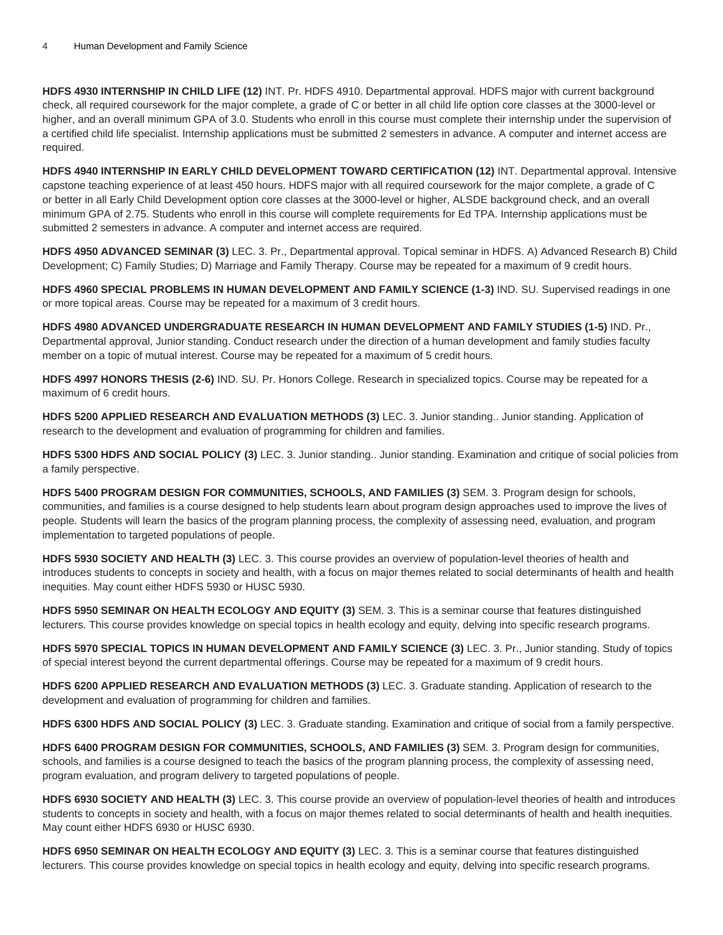**HDFS 4930 INTERNSHIP IN CHILD LIFE (12)** INT. Pr. HDFS 4910. Departmental approval. HDFS major with current background check, all required coursework for the major complete, a grade of C or better in all child life option core classes at the 3000-level or higher, and an overall minimum GPA of 3.0. Students who enroll in this course must complete their internship under the supervision of a certified child life specialist. Internship applications must be submitted 2 semesters in advance. A computer and internet access are required.

**HDFS 4940 INTERNSHIP IN EARLY CHILD DEVELOPMENT TOWARD CERTIFICATION (12)** INT. Departmental approval. Intensive capstone teaching experience of at least 450 hours. HDFS major with all required coursework for the major complete, a grade of C or better in all Early Child Development option core classes at the 3000-level or higher, ALSDE background check, and an overall minimum GPA of 2.75. Students who enroll in this course will complete requirements for Ed TPA. Internship applications must be submitted 2 semesters in advance. A computer and internet access are required.

**HDFS 4950 ADVANCED SEMINAR (3)** LEC. 3. Pr., Departmental approval. Topical seminar in HDFS. A) Advanced Research B) Child Development; C) Family Studies; D) Marriage and Family Therapy. Course may be repeated for a maximum of 9 credit hours.

**HDFS 4960 SPECIAL PROBLEMS IN HUMAN DEVELOPMENT AND FAMILY SCIENCE (1-3)** IND. SU. Supervised readings in one or more topical areas. Course may be repeated for a maximum of 3 credit hours.

**HDFS 4980 ADVANCED UNDERGRADUATE RESEARCH IN HUMAN DEVELOPMENT AND FAMILY STUDIES (1-5)** IND. Pr., Departmental approval, Junior standing. Conduct research under the direction of a human development and family studies faculty member on a topic of mutual interest. Course may be repeated for a maximum of 5 credit hours.

**HDFS 4997 HONORS THESIS (2-6)** IND. SU. Pr. Honors College. Research in specialized topics. Course may be repeated for a maximum of 6 credit hours.

**HDFS 5200 APPLIED RESEARCH AND EVALUATION METHODS (3)** LEC. 3. Junior standing.. Junior standing. Application of research to the development and evaluation of programming for children and families.

**HDFS 5300 HDFS AND SOCIAL POLICY (3)** LEC. 3. Junior standing.. Junior standing. Examination and critique of social policies from a family perspective.

**HDFS 5400 PROGRAM DESIGN FOR COMMUNITIES, SCHOOLS, AND FAMILIES (3)** SEM. 3. Program design for schools, communities, and families is a course designed to help students learn about program design approaches used to improve the lives of people. Students will learn the basics of the program planning process, the complexity of assessing need, evaluation, and program implementation to targeted populations of people.

**HDFS 5930 SOCIETY AND HEALTH (3)** LEC. 3. This course provides an overview of population-level theories of health and introduces students to concepts in society and health, with a focus on major themes related to social determinants of health and health inequities. May count either HDFS 5930 or HUSC 5930.

**HDFS 5950 SEMINAR ON HEALTH ECOLOGY AND EQUITY (3)** SEM. 3. This is a seminar course that features distinguished lecturers. This course provides knowledge on special topics in health ecology and equity, delving into specific research programs.

**HDFS 5970 SPECIAL TOPICS IN HUMAN DEVELOPMENT AND FAMILY SCIENCE (3)** LEC. 3. Pr., Junior standing. Study of topics of special interest beyond the current departmental offerings. Course may be repeated for a maximum of 9 credit hours.

**HDFS 6200 APPLIED RESEARCH AND EVALUATION METHODS (3)** LEC. 3. Graduate standing. Application of research to the development and evaluation of programming for children and families.

**HDFS 6300 HDFS AND SOCIAL POLICY (3)** LEC. 3. Graduate standing. Examination and critique of social from a family perspective.

**HDFS 6400 PROGRAM DESIGN FOR COMMUNITIES, SCHOOLS, AND FAMILIES (3)** SEM. 3. Program design for communities, schools, and families is a course designed to teach the basics of the program planning process, the complexity of assessing need, program evaluation, and program delivery to targeted populations of people.

**HDFS 6930 SOCIETY AND HEALTH (3)** LEC. 3. This course provide an overview of population-level theories of health and introduces students to concepts in society and health, with a focus on major themes related to social determinants of health and health inequities. May count either HDFS 6930 or HUSC 6930.

**HDFS 6950 SEMINAR ON HEALTH ECOLOGY AND EQUITY (3)** LEC. 3. This is a seminar course that features distinguished lecturers. This course provides knowledge on special topics in health ecology and equity, delving into specific research programs.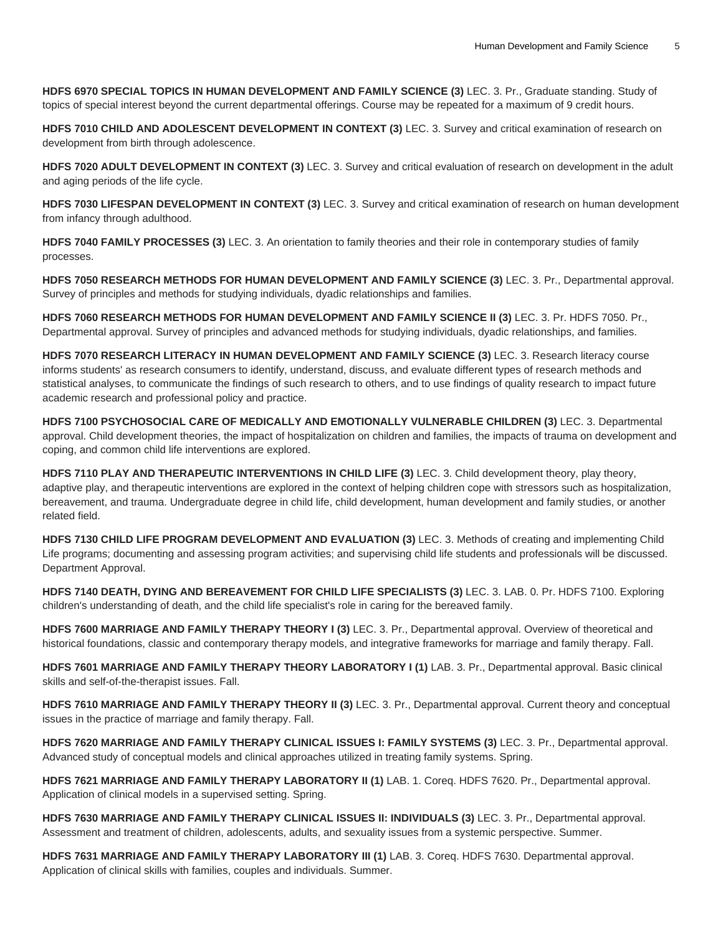**HDFS 6970 SPECIAL TOPICS IN HUMAN DEVELOPMENT AND FAMILY SCIENCE (3)** LEC. 3. Pr., Graduate standing. Study of topics of special interest beyond the current departmental offerings. Course may be repeated for a maximum of 9 credit hours.

**HDFS 7010 CHILD AND ADOLESCENT DEVELOPMENT IN CONTEXT (3)** LEC. 3. Survey and critical examination of research on development from birth through adolescence.

**HDFS 7020 ADULT DEVELOPMENT IN CONTEXT (3)** LEC. 3. Survey and critical evaluation of research on development in the adult and aging periods of the life cycle.

**HDFS 7030 LIFESPAN DEVELOPMENT IN CONTEXT (3)** LEC. 3. Survey and critical examination of research on human development from infancy through adulthood.

**HDFS 7040 FAMILY PROCESSES (3)** LEC. 3. An orientation to family theories and their role in contemporary studies of family processes.

**HDFS 7050 RESEARCH METHODS FOR HUMAN DEVELOPMENT AND FAMILY SCIENCE (3)** LEC. 3. Pr., Departmental approval. Survey of principles and methods for studying individuals, dyadic relationships and families.

**HDFS 7060 RESEARCH METHODS FOR HUMAN DEVELOPMENT AND FAMILY SCIENCE II (3)** LEC. 3. Pr. HDFS 7050. Pr., Departmental approval. Survey of principles and advanced methods for studying individuals, dyadic relationships, and families.

**HDFS 7070 RESEARCH LITERACY IN HUMAN DEVELOPMENT AND FAMILY SCIENCE (3)** LEC. 3. Research literacy course informs students' as research consumers to identify, understand, discuss, and evaluate different types of research methods and statistical analyses, to communicate the findings of such research to others, and to use findings of quality research to impact future academic research and professional policy and practice.

**HDFS 7100 PSYCHOSOCIAL CARE OF MEDICALLY AND EMOTIONALLY VULNERABLE CHILDREN (3)** LEC. 3. Departmental approval. Child development theories, the impact of hospitalization on children and families, the impacts of trauma on development and coping, and common child life interventions are explored.

**HDFS 7110 PLAY AND THERAPEUTIC INTERVENTIONS IN CHILD LIFE (3)** LEC. 3. Child development theory, play theory, adaptive play, and therapeutic interventions are explored in the context of helping children cope with stressors such as hospitalization, bereavement, and trauma. Undergraduate degree in child life, child development, human development and family studies, or another related field.

**HDFS 7130 CHILD LIFE PROGRAM DEVELOPMENT AND EVALUATION (3)** LEC. 3. Methods of creating and implementing Child Life programs; documenting and assessing program activities; and supervising child life students and professionals will be discussed. Department Approval.

**HDFS 7140 DEATH, DYING AND BEREAVEMENT FOR CHILD LIFE SPECIALISTS (3)** LEC. 3. LAB. 0. Pr. HDFS 7100. Exploring children's understanding of death, and the child life specialist's role in caring for the bereaved family.

**HDFS 7600 MARRIAGE AND FAMILY THERAPY THEORY I (3)** LEC. 3. Pr., Departmental approval. Overview of theoretical and historical foundations, classic and contemporary therapy models, and integrative frameworks for marriage and family therapy. Fall.

**HDFS 7601 MARRIAGE AND FAMILY THERAPY THEORY LABORATORY I (1)** LAB. 3. Pr., Departmental approval. Basic clinical skills and self-of-the-therapist issues. Fall.

**HDFS 7610 MARRIAGE AND FAMILY THERAPY THEORY II (3)** LEC. 3. Pr., Departmental approval. Current theory and conceptual issues in the practice of marriage and family therapy. Fall.

**HDFS 7620 MARRIAGE AND FAMILY THERAPY CLINICAL ISSUES I: FAMILY SYSTEMS (3)** LEC. 3. Pr., Departmental approval. Advanced study of conceptual models and clinical approaches utilized in treating family systems. Spring.

**HDFS 7621 MARRIAGE AND FAMILY THERAPY LABORATORY II (1)** LAB. 1. Coreq. HDFS 7620. Pr., Departmental approval. Application of clinical models in a supervised setting. Spring.

**HDFS 7630 MARRIAGE AND FAMILY THERAPY CLINICAL ISSUES II: INDIVIDUALS (3)** LEC. 3. Pr., Departmental approval. Assessment and treatment of children, adolescents, adults, and sexuality issues from a systemic perspective. Summer.

**HDFS 7631 MARRIAGE AND FAMILY THERAPY LABORATORY III (1)** LAB. 3. Coreq. HDFS 7630. Departmental approval. Application of clinical skills with families, couples and individuals. Summer.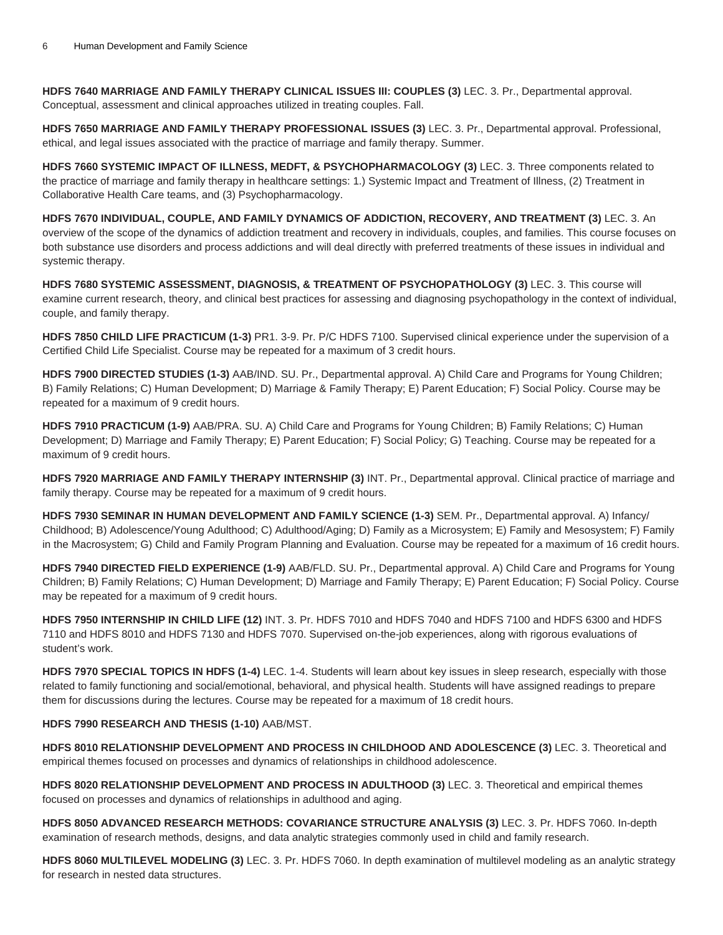**HDFS 7640 MARRIAGE AND FAMILY THERAPY CLINICAL ISSUES III: COUPLES (3)** LEC. 3. Pr., Departmental approval. Conceptual, assessment and clinical approaches utilized in treating couples. Fall.

**HDFS 7650 MARRIAGE AND FAMILY THERAPY PROFESSIONAL ISSUES (3)** LEC. 3. Pr., Departmental approval. Professional, ethical, and legal issues associated with the practice of marriage and family therapy. Summer.

**HDFS 7660 SYSTEMIC IMPACT OF ILLNESS, MEDFT, & PSYCHOPHARMACOLOGY (3)** LEC. 3. Three components related to the practice of marriage and family therapy in healthcare settings: 1.) Systemic Impact and Treatment of Illness, (2) Treatment in Collaborative Health Care teams, and (3) Psychopharmacology.

**HDFS 7670 INDIVIDUAL, COUPLE, AND FAMILY DYNAMICS OF ADDICTION, RECOVERY, AND TREATMENT (3)** LEC. 3. An overview of the scope of the dynamics of addiction treatment and recovery in individuals, couples, and families. This course focuses on both substance use disorders and process addictions and will deal directly with preferred treatments of these issues in individual and systemic therapy.

**HDFS 7680 SYSTEMIC ASSESSMENT, DIAGNOSIS, & TREATMENT OF PSYCHOPATHOLOGY (3)** LEC. 3. This course will examine current research, theory, and clinical best practices for assessing and diagnosing psychopathology in the context of individual, couple, and family therapy.

**HDFS 7850 CHILD LIFE PRACTICUM (1-3)** PR1. 3-9. Pr. P/C HDFS 7100. Supervised clinical experience under the supervision of a Certified Child Life Specialist. Course may be repeated for a maximum of 3 credit hours.

**HDFS 7900 DIRECTED STUDIES (1-3)** AAB/IND. SU. Pr., Departmental approval. A) Child Care and Programs for Young Children; B) Family Relations; C) Human Development; D) Marriage & Family Therapy; E) Parent Education; F) Social Policy. Course may be repeated for a maximum of 9 credit hours.

**HDFS 7910 PRACTICUM (1-9)** AAB/PRA. SU. A) Child Care and Programs for Young Children; B) Family Relations; C) Human Development; D) Marriage and Family Therapy; E) Parent Education; F) Social Policy; G) Teaching. Course may be repeated for a maximum of 9 credit hours.

**HDFS 7920 MARRIAGE AND FAMILY THERAPY INTERNSHIP (3)** INT. Pr., Departmental approval. Clinical practice of marriage and family therapy. Course may be repeated for a maximum of 9 credit hours.

**HDFS 7930 SEMINAR IN HUMAN DEVELOPMENT AND FAMILY SCIENCE (1-3)** SEM. Pr., Departmental approval. A) Infancy/ Childhood; B) Adolescence/Young Adulthood; C) Adulthood/Aging; D) Family as a Microsystem; E) Family and Mesosystem; F) Family in the Macrosystem; G) Child and Family Program Planning and Evaluation. Course may be repeated for a maximum of 16 credit hours.

**HDFS 7940 DIRECTED FIELD EXPERIENCE (1-9)** AAB/FLD. SU. Pr., Departmental approval. A) Child Care and Programs for Young Children; B) Family Relations; C) Human Development; D) Marriage and Family Therapy; E) Parent Education; F) Social Policy. Course may be repeated for a maximum of 9 credit hours.

**HDFS 7950 INTERNSHIP IN CHILD LIFE (12)** INT. 3. Pr. HDFS 7010 and HDFS 7040 and HDFS 7100 and HDFS 6300 and HDFS 7110 and HDFS 8010 and HDFS 7130 and HDFS 7070. Supervised on-the-job experiences, along with rigorous evaluations of student's work.

**HDFS 7970 SPECIAL TOPICS IN HDFS (1-4)** LEC. 1-4. Students will learn about key issues in sleep research, especially with those related to family functioning and social/emotional, behavioral, and physical health. Students will have assigned readings to prepare them for discussions during the lectures. Course may be repeated for a maximum of 18 credit hours.

## **HDFS 7990 RESEARCH AND THESIS (1-10)** AAB/MST.

**HDFS 8010 RELATIONSHIP DEVELOPMENT AND PROCESS IN CHILDHOOD AND ADOLESCENCE (3)** LEC. 3. Theoretical and empirical themes focused on processes and dynamics of relationships in childhood adolescence.

**HDFS 8020 RELATIONSHIP DEVELOPMENT AND PROCESS IN ADULTHOOD (3)** LEC. 3. Theoretical and empirical themes focused on processes and dynamics of relationships in adulthood and aging.

**HDFS 8050 ADVANCED RESEARCH METHODS: COVARIANCE STRUCTURE ANALYSIS (3)** LEC. 3. Pr. HDFS 7060. In-depth examination of research methods, designs, and data analytic strategies commonly used in child and family research.

**HDFS 8060 MULTILEVEL MODELING (3)** LEC. 3. Pr. HDFS 7060. In depth examination of multilevel modeling as an analytic strategy for research in nested data structures.